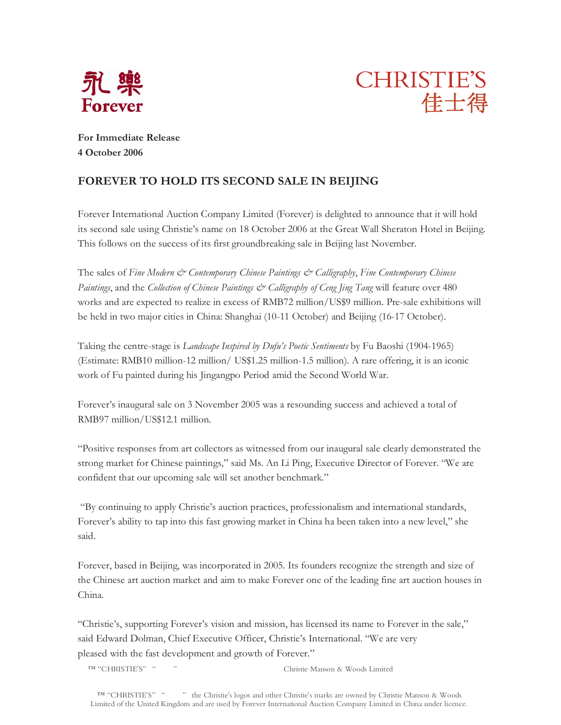



**For Immediate Release 4 October 2006** 

## **FOREVER TO HOLD ITS SECOND SALE IN BEIJING**

Forever International Auction Company Limited (Forever) is delighted to announce that it will hold its second sale using Christie's name on 18 October 2006 at the Great Wall Sheraton Hotel in Beijing. This follows on the success of its first groundbreaking sale in Beijing last November.

The sales of *Fine Modern & Contemporary Chinese Paintings & Calligraphy*, *Fine Contemporary Chinese Paintings*, and the *Collection of Chinese Paintings & Calligraphy of Ceng Jing Tang* will feature over 480 works and are expected to realize in excess of RMB72 million/US\$9 million. Pre-sale exhibitions will be held in two major cities in China: Shanghai (10-11 October) and Beijing (16-17 October).

Taking the centre-stage is *Landscape Inspired by Dufu's Poetic Sentiments* by Fu Baoshi (1904-1965) (Estimate: RMB10 million-12 million/ US\$1.25 million-1.5 million)*.* A rare offering, it is an iconic work of Fu painted during his Jingangpo Period amid the Second World War.

Forever's inaugural sale on 3 November 2005 was a resounding success and achieved a total of RMB97 million/US\$12.1 million.

"Positive responses from art collectors as witnessed from our inaugural sale clearly demonstrated the strong market for Chinese paintings," said Ms. An Li Ping, Executive Director of Forever. "We are confident that our upcoming sale will set another benchmark."

 "By continuing to apply Christie's auction practices, professionalism and international standards, Forever's ability to tap into this fast growing market in China ha been taken into a new level," she said.

Forever, based in Beijing, was incorporated in 2005. Its founders recognize the strength and size of the Chinese art auction market and aim to make Forever one of the leading fine art auction houses in China.

"Christie's, supporting Forever's vision and mission, has licensed its name to Forever in the sale," said Edward Dolman, Chief Executive Officer, Christie's International. "We are very pleased with the fast development and growth of Forever."

™ "CHRISTIE'S""" Christie Manson & Woods Limited